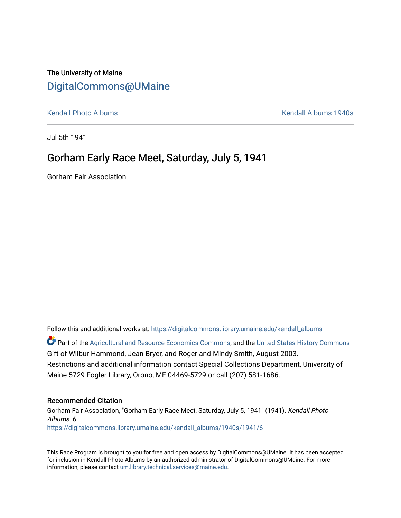## The University of Maine [DigitalCommons@UMaine](https://digitalcommons.library.umaine.edu/)

[Kendall Photo Albums](https://digitalcommons.library.umaine.edu/kendall_albums) [Kendall Albums 1940s](https://digitalcommons.library.umaine.edu/kendall_albums/1940s) 

Jul 5th 1941

# Gorham Early Race Meet, Saturday, July 5, 1941

Gorham Fair Association

Follow this and additional works at: [https://digitalcommons.library.umaine.edu/kendall\\_albums](https://digitalcommons.library.umaine.edu/kendall_albums?utm_source=digitalcommons.library.umaine.edu%2Fkendall_albums%2F1940s%2F1941%2F6&utm_medium=PDF&utm_campaign=PDFCoverPages) 

**C** Part of the [Agricultural and Resource Economics Commons,](http://network.bepress.com/hgg/discipline/317?utm_source=digitalcommons.library.umaine.edu%2Fkendall_albums%2F1940s%2F1941%2F6&utm_medium=PDF&utm_campaign=PDFCoverPages) and the [United States History Commons](http://network.bepress.com/hgg/discipline/495?utm_source=digitalcommons.library.umaine.edu%2Fkendall_albums%2F1940s%2F1941%2F6&utm_medium=PDF&utm_campaign=PDFCoverPages) Gift of Wilbur Hammond, Jean Bryer, and Roger and Mindy Smith, August 2003. Restrictions and additional information contact Special Collections Department, University of Maine 5729 Fogler Library, Orono, ME 04469-5729 or call (207) 581-1686.

### Recommended Citation

Gorham Fair Association, "Gorham Early Race Meet, Saturday, July 5, 1941" (1941). Kendall Photo Albums. 6. [https://digitalcommons.library.umaine.edu/kendall\\_albums/1940s/1941/6](https://digitalcommons.library.umaine.edu/kendall_albums/1940s/1941/6?utm_source=digitalcommons.library.umaine.edu%2Fkendall_albums%2F1940s%2F1941%2F6&utm_medium=PDF&utm_campaign=PDFCoverPages) 

This Race Program is brought to you for free and open access by DigitalCommons@UMaine. It has been accepted for inclusion in Kendall Photo Albums by an authorized administrator of DigitalCommons@UMaine. For more information, please contact [um.library.technical.services@maine.edu](mailto:um.library.technical.services@maine.edu).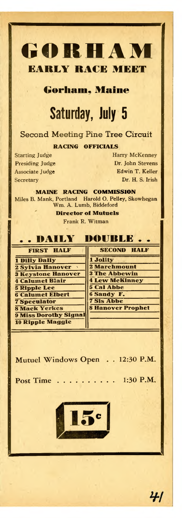

**Gorham, Maine**

# Saturday, July <sup>5</sup>

## Second Meeting Pine Tree Circuit

**RACING OFFICIALS**

Starting Judge Harry McKenney Presiding Judge Dr. John Stevens Associate Judge **Edwin T. Keller** Secretary Dr. H. S. Irish

**MAINE RACING COMMISSION** Miles B. Mank, Portland Harold O. Pelley, Skowhegan Wm. A. Lumb, Biddeford

**Director of Mutuels**

Frank R. Witman

| <b>DAILY DOUBLE</b>          |                          |  |
|------------------------------|--------------------------|--|
| <b>FIRST HALF</b>            | <b>SECOND HALF</b>       |  |
| 1 Dilly Dally                | 1 Jolity                 |  |
| <b>2 Sylvia Hanover</b>      | 2 Marchmount             |  |
| <b>3 Keystone Hanover</b>    | <b>3 The Abbewin</b>     |  |
| <b>4 Calumet Blair</b>       | <b>4 Lew McKinney</b>    |  |
| <b>5 Ripple Lee</b>          | <b>5 Cal Abbe</b>        |  |
| <b>6 Calumet Elbert</b>      | <b>6 Sandy F.</b>        |  |
| <b>7 Speculator</b>          | <b>7 Sis Abbe</b>        |  |
| <b>8 Mack Yerkes</b>         | <b>8 Hanover Prophet</b> |  |
| <b>9 Miss Dorothy Signal</b> |                          |  |
| <b>10 Ripple Maggie</b>      |                          |  |

Mutuel Windows Open . 12:30 P.M.

Post Time  $\ldots$ ....... 1:30 P.M.



41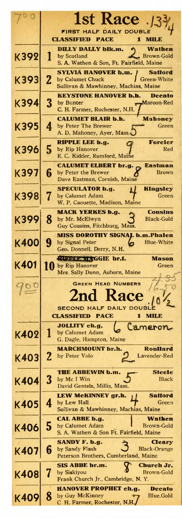|             |             | <b>1st Race</b>                                                                      |
|-------------|-------------|--------------------------------------------------------------------------------------|
|             |             | <b>FIRST HALF DAILY DOUBLE</b>                                                       |
|             |             | CLASSIFIED<br><b>PACE</b><br>1<br><b>MILE</b>                                        |
| K392        |             | DILLY DALLY blk.m.<br>Wathen<br><b>Brown-Gold</b><br>by Scotland                     |
|             |             | S. A. Wathen & Son, Ft. Fairfield, Maine                                             |
| K393        | $\mathbf 2$ | SYLVIA HANOVER b.m.<br><b>Safford</b><br>by Calumet Chuck<br>Green-White             |
|             |             | Sullivan & Mawhinney, Machias, Maine                                                 |
| K394        | 3           | <b>KEYSTONE HANOVER b.h.</b><br>Decato<br>by Bunter<br>Maroon-Red                    |
|             |             | C. H. Farmer, Rochester, N.H.                                                        |
| K395        | 4           | <b>CALUMET BLAIR b.h.</b><br><b>Mahoney</b><br>by Peter The Brewer<br>Green          |
|             |             | A. D. Mahoney, Ayer, Mass.                                                           |
| K396        | 5           | <b>Forcier</b><br>RIPPLE LEE b.g.<br>by Rip Hanover<br>Red                           |
|             |             | E. C. Kidder, Rumford, Maine                                                         |
| K397        | 6           | <b>CALUMET ELBERT br.g.</b><br><b>Eastman</b><br>by Peter the Brewer<br><b>Brown</b> |
|             |             | Dave Eastman, Cornish, Maine<br><b>SPECULATOR b.g.</b><br>Kingsley                   |
| K398        |             | by Calumet Adam<br>Green                                                             |
|             |             | W. P. Caouette, Madison, Maine<br><b>MACK YERKES b.g.</b><br><b>Cousins</b>          |
| <b>K399</b> | 8           | by Mr. McElwyn<br><b>Black-Gold</b>                                                  |
|             |             | Guy Cousins, Fitchburg, Mass.<br><b>MISS DOROTHY SIGNAL b.m.Phalen</b>               |
| <b>K400</b> | 9           | <b>Blue-White</b><br>by Signal Peter<br>Geo. Donnell, Derry, N.H.                    |
|             |             | <b>AUPLE MAGGIE br.f.</b><br>Mason                                                   |
|             |             |                                                                                      |
| K401        |             | 10 by Rip Hanover<br>Green                                                           |
|             |             | Mrs. Sally Dunn, Auburn, Maine<br><b>GREEN HEAD NUMBERS</b>                          |
| 901         |             |                                                                                      |
|             |             | 2nd Race<br><b>SECOND HALF DAILY DOUBL</b>                                           |
|             |             | <b>CLASSIFIED PACE</b>                                                               |
|             |             | Cameron<br>JOLLITY ch.g,<br>by Calumet Adam                                          |
| K402        |             | G. Dagle, Hampton, Maine                                                             |
|             | $\mathbf 2$ | <b>MARCHMOUNT br.h.</b><br>Roullard<br>Lavender-Red<br>by Peter Volo                 |
| K403        |             |                                                                                      |
| K404        | 3           | THE ABBEWIN b.m.<br><b>Steele</b><br>Black<br>by Mc I Win                            |
|             |             | David Gentels, Millis, Mass.                                                         |
| K405        | 4           | LEW McKINNEY gr.h.<br>Safford<br>Green<br>by Lew Hall                                |
|             |             | Sullivan & Mawhinney, Machias, Maine<br>Wathen<br>CAL ABBE b.g.                      |
| K406        | 5           | by Calumet Adam<br>Brown-Gold                                                        |
|             |             | S. A. Wathen & Son Ft. Fairfield, Maine<br>SANDY F. b.g.<br>Cleary                   |
| K407        | 6           | by Sandy Flash<br><b>Black-Orange</b><br>Peterson Brothers, Cumberland, Maine        |
|             |             | SIS ABBE br.m.<br>Church Jr.                                                         |
| <b>K408</b> |             | Brown-Gold<br>by Siskiyou<br>Frank Church Jr., Cambridge, N.Y.                       |
| K409        | 8           | HANOVER PROPHET ch.g.<br><b>Decato</b><br>by Guy McKinney<br>Blue.Gold               |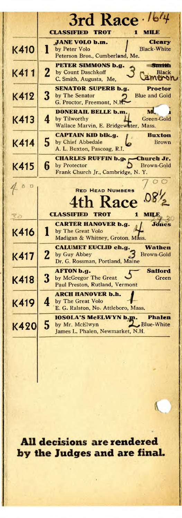|             | 3rd Race 164                                                                                                              |
|-------------|---------------------------------------------------------------------------------------------------------------------------|
|             | <b>CLASSIFIED</b><br><b>TROT</b><br>1<br><b>MILE</b>                                                                      |
| K410        | <b>JANE VOLO b.m.</b><br><b>Cleary</b><br>1<br>by Peter Volo<br><b>Black-White</b><br>Peterson Bros., Cumberland, Me.     |
| K411        | <b>PETER SIMMONS b.g.</b><br>Smith<br>$\mathbf{2}$<br>by Count Daschkoff<br>Black<br>le nai<br>C. Smith, Augusta, Me,     |
| K412        | <b>SENATOR SUPERB b.g.</b><br><b>Proctor</b><br>3<br>by The Senator<br><b>Blue and Gold</b><br>G. Proctor, Freemont, N.H. |
| K413        | <b>DONERAIL BELLE b.m.</b><br>M.<br>4<br>by Tilworthy<br>Green-Gold<br>Wallace Marvin, E. Bridgewater, Mass.              |
| K414        | <b>CAPTAIN KID blk.g.</b><br><b>Buxton</b><br>5<br>by Chief Abbedale<br>Brown<br>A. L. Buxton, Pascoag, R.I.              |
| K415        | <b>CHARLES RUFFIN b.g.r</b><br>-Church Jr.<br>6<br>by Protector<br>Brown-Gold<br>Frank Church Jr., Cambridge, N.Y.        |
| 40          | <b>RED HEAD NUMBERS</b>                                                                                                   |
|             | <b>ace</b>                                                                                                                |
| 0.          | <b>CLASSIFIED</b><br><b>TROT</b><br>1<br>мцк                                                                              |
| K416        | <b>CARTER HANOVER b.g.</b><br>Jones<br>by The Great Volo<br>1<br>Madigan & Whitney, Groton, Mass.                         |
| K417        | <b>CALUMET EUCLID ch.g.</b><br>Wathen<br>2<br>by Guy Abbey<br><b>Brown-Gold</b><br>Dr. G. Rossman, Portland, Maine        |
| <b>K418</b> | <b>Satiord</b><br><b>AFTON b.g.</b><br>3<br>by McGregor The Great<br>Green<br>Paul Preston, Rutland, Vermont              |
| K419        | <b>ARCH HANOVER b.h.</b><br>4<br>by The Great Volo<br>E. G. Ralston, No. Attleboro, Mass.                                 |
| K420        | <b>IOSOLA'S McELWYN b.m.</b><br><b>Phalen</b><br>5<br>by Mr. McElwyn<br>Blue-White<br>James L. Phalen, Newmarket, N.H.    |
|             |                                                                                                                           |

**All decisions are rendered** by the Judges and are final.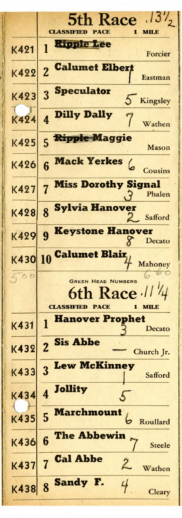| $5th$ Race $.13\%$<br><b>CLASSIFIED</b><br>PACE<br>мшэ       |
|--------------------------------------------------------------|
| <b>Ripple Lee</b><br>Forcier                                 |
| <b>Calumet Elbert</b><br>$\overline{2}$<br>Eastman           |
| <b>Speculator</b><br>3<br>Δ<br>Kingsley                      |
| <b>Dilly Dally</b><br>7<br>Wathen                            |
| <b>Ripple Maggie</b><br>5<br>Mason                           |
| Mack Yerkes (<br>6<br>Cousins<br><b>Miss Dorothy Signal</b>  |
| Phalen<br><b>Sylvia Hanover</b><br>$\overline{\mathbf{8}}$   |
| Safford<br><b>Keystone Hanover</b><br>$\boldsymbol{q}$       |
| Decato<br>Calumet Blair,<br>K430 10                          |
| Mahoney<br><b>GREEN HEAD NUMBERS</b>                         |
| h Race //<br><b>CLASSIFIED</b><br>PACE                       |
| <b>Hanover Prophet</b><br>1<br>Decato                        |
| <b>Sis Abbe</b><br>$\overline{2}$<br>Church Jr.              |
| <b>Lew McKinney</b><br>3<br>Safford<br><b>Jollity</b>        |
| $\overline{\mathbf{4}}$<br><u>Marchmount</u><br>5            |
| Roullard<br>The Abbewin<br>6                                 |
| <b>Steele</b><br><b>Cal Abbe</b><br>$\overline{\mathcal{L}}$ |
| Wathen<br>8 Sandy                                            |
|                                                              |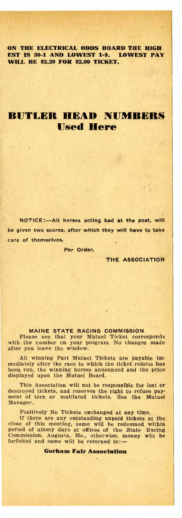**ON THE ELECTRICAL ODDS BOARD THE HIGH EST IS 50-1 AND LOWEST 1-9. LOWEST PAY WILL BE \$2.20 FOR \$2.00 TICKET.**

## **BUTLER HEAD NUMBERS Used Here**

NOTICE:—All horses acting bad at the post, will be given two scores, after which they will have to take care of themselves.

Per Order,

THE ASSOCIATION

#### MAINE STATE RACING COMMISSION

Please see that your Mutuel Ticket corresponds with the number on your program. No changes made after you leave the window.

All winning Pari Mutuel Tickets are payable im-mediately after the race to which the ticket relates has been run, the winning horses announced and the price displayed upon the Mutuel Board.

This Association will not be responsible for lost or destroyed tickets, and reserves the right to refuse payment of torn or mutilated tickets. See the Mutuel Manager.

Positively No Tickets exchanged at any time.

If there are any outstanding unpaid tickets at the close of this meeting, same will be redeemed within period of ninety days at offices of the State Racing Commission, Augusta, Me., otherwise, money will be forfeited and same will be returned to:—

**Gorham Fair Association**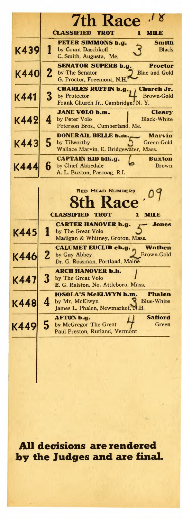|             |              | 18<br><b>7th Race</b>                                                                                                    |
|-------------|--------------|--------------------------------------------------------------------------------------------------------------------------|
|             |              | <b>CLASSIFIED</b><br><b>TROT</b><br>MILE<br>1                                                                            |
| K439        | 1            | PETER SIMMONS b.g.<br><b>Smith</b><br>by Count Daschkoff<br>Black<br>C. Smith, Augusta, Me,                              |
| K440        | $\mathbf{2}$ | <b>SENATOR SUPERB b.g.</b><br>Proctor<br>by The Senator<br><b>Blue and Gold</b><br>G. Proctor, Freemont, N.H.            |
| K441        | 3            | Church Jr.<br><b>CHARLES RUFFIN b.g.</b><br>by Protector<br><b>Brown-Gold</b><br>Frank Church Jr., Cambridge, N.Y.       |
| K442        | 4            | <b>JANE VOLO b.m.</b><br>Cleary<br><b>Black-White</b><br>by Peter Volo<br>Peterson Bros., Cumberland, Me.                |
| K443        | 5            | DONERAIL BELLE b.m.<br>Marvin<br>by Tilworthy<br>Green-Gold<br>Wallace Marvin, E. Bridgewater, Mass.                     |
| <b>K444</b> | 6            | <b>CAPTAIN KID blk.g.</b><br><b>Buxton</b><br>by Chief Abbedale<br><b>Brown</b><br>A. L. Buxton, Pascoag, R.I.           |
|             |              | <b>RED HEAD NUMBERS</b><br>h Kace<br><b>CLASSIFIED</b><br><b>TROT</b><br>1<br>MILE                                       |
| K445        |              | <b>CARTER HANOVER b.g.</b><br><b>Jones</b><br>by The Great Volo<br>Madigan & Whitney, Groton, Mass.                      |
| K446        | $\mathbf{z}$ | <b>CALUMET EUCLID ch.g.</b><br><b>Wathen</b><br>Brown-Gold<br>by Guy Abbey<br>Dr. G. Rossman, Portland, Maine            |
| K447        | 3            | ARCH HANOVER b.h.<br>by The Great Volo<br>E. G. Ralston, No. Attleboro, Mass.                                            |
| K448        | 4            | <b>IOSOLA'S McELWYN b.m.</b><br><b>Phalen</b><br>by Mr. McElwyn<br><b>Blue-White</b><br>James L. Phalen, Newmarket, N.H. |
| K449        | 5            | AFTON b.g.<br>Safford<br>by McGregor The Great<br>Green<br>Paul Preston Rutland Verm                                     |

**All decisions are rendered by the Judges and are final.**

Paul Preston, Rutland, Vermont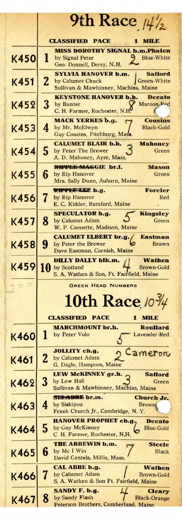|             | 9th Race $\frac{\mu}{2}$                                                                                                  |
|-------------|---------------------------------------------------------------------------------------------------------------------------|
|             | <b>CLASSIFIED</b><br><b>PACE</b><br>MILE<br>п                                                                             |
| K450        | <b>MISS DOROTHY SIGNAL b.m.Phalen</b><br>1<br>by Signal Peter<br><b>Blue-White</b><br>Geo. Donnell, Derry, N.H.           |
| K451        | <b>SYLVIA HANOVER b.m.</b><br>Safford<br>2<br>by Calumet Chuck<br>Green-White<br>Sullivan & Mawhinney, Machias, Maine     |
| K452        | <b>KEYSTONE HANOVER b.h.</b><br><b>Decato</b><br>3<br>Maroon-Ped<br>by Bunter<br>C. H. Farmer, Rochester, N.H             |
| K453        | <b>MACK YERKES b.g.</b><br><b>Cousins</b><br>4<br>by Mr. McElwyn<br><b>Black-Gold</b><br>Guy Cousins, Fitchburg, Mass.    |
| <b>K454</b> | <b>CALUMET BLAIR b.h.</b><br>Mahoney<br>5<br>by Peter The Brewer<br>Green<br>A. D. Mahoney, Ayer, Mass.                   |
| K455        | RIPPLE MAGGIE br.f.<br>Mason<br>6<br>by Rip Hanover<br>Green<br>Mrs. Sally Dunn, Auburn, Maine                            |
| K456        | Forcier<br><b>RIPPLE-LEE b.g.</b><br>7<br>by Rip Hanover<br>Red<br>E. C. Kidder, Rumford, Maine                           |
| K457        | <b>SPECULATOR b.g.</b><br><b>Kingsley</b><br>8<br>by Calumet Adam<br>Green<br>W. P. Caouette, Madison, Maine              |
| K458        | <b>CALUMET ELBERT br.g.</b><br>Eastman<br>9<br>by Peter the Brewer<br><b>Brown</b><br>Dave Eastman, Cornish, Maine        |
| K459        | <b>DILLY DALLY blk.m.</b><br>Wathen<br>10<br>by Scotland<br>Brown-Gold<br>S. A. Wathen & Son, Ft. Fairfield, Maine        |
| D.          | <b>GREEN HEAD NUMBERS</b>                                                                                                 |
|             | 10th Race $10\frac{3}{4}$                                                                                                 |
|             | <b>CLASSIFIED</b><br><b>PACE</b><br>1<br>MILE                                                                             |
| <b>K460</b> | <b>MARCHMOUNT br.h.</b><br><b>Roullard</b><br>by Peter Volo<br>Lavender-Red                                               |
| K461        | JOLLITY ch.g,<br>Cameron<br>2<br>by Calumet Adam<br>G. Dagle, Hampton, Maine                                              |
| K462        | LEW MCKINNEY gr.h.<br>Safford<br>3<br>by Lew Hall<br>Green<br>Sullivan & Mawhinney, Machias, Maine                        |
| K463        | SIS ADBE br.m.<br>Church Jr.<br>4<br>by Siskiyou<br><b>Brown</b><br>Frank Church Jr., Cambridge, N.Y.                     |
| K464        | <b>HANOVER PROPHET ch.g.</b><br><b>Decato</b><br>5<br>by Guy McKinney<br><b>Blue.Gold</b><br>C H. Farmer, Rochester, N.H. |
| K465        | THE ABBEWIN b.m.<br><b>Steele</b><br>6<br>by Mc I Win<br><b>Black</b><br>David Gentels, Millis, Mass.                     |
| <b>K466</b> | CAL ABBE b.g.<br>Wathen<br>7<br>by Calumet Adam<br>Brown-Gold<br>S. A. Wathen & Son Ft. Fairfield, Maine                  |
| K467        | SANDY F. b.g.<br>Cleary<br>8<br>by Sandy Flash<br><b>Black-Orange</b><br>Peterson Brothers, Cumberland, Maine             |